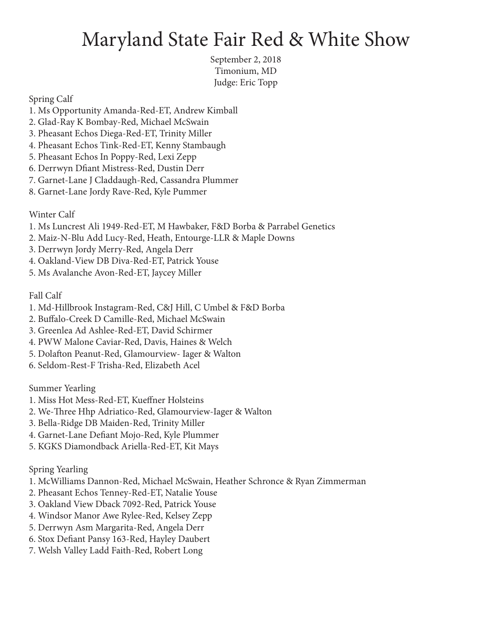## Maryland State Fair Red & White Show

September 2, 2018 Timonium, MD Judge: Eric Topp

Spring Calf

- 1. Ms Opportunity Amanda-Red-ET, Andrew Kimball
- 2. Glad-Ray K Bombay-Red, Michael McSwain
- 3. Pheasant Echos Diega-Red-ET, Trinity Miller
- 4. Pheasant Echos Tink-Red-ET, Kenny Stambaugh
- 5. Pheasant Echos In Poppy-Red, Lexi Zepp
- 6. Derrwyn Dfiant Mistress-Red, Dustin Derr
- 7. Garnet-Lane J Claddaugh-Red, Cassandra Plummer
- 8. Garnet-Lane Jordy Rave-Red, Kyle Pummer

Winter Calf

- 1. Ms Luncrest Ali 1949-Red-ET, M Hawbaker, F&D Borba & Parrabel Genetics
- 2. Maiz-N-Blu Add Lucy-Red, Heath, Entourge-LLR & Maple Downs
- 3. Derrwyn Jordy Merry-Red, Angela Derr
- 4. Oakland-View DB Diva-Red-ET, Patrick Youse
- 5. Ms Avalanche Avon-Red-ET, Jaycey Miller

Fall Calf

- 1. Md-Hillbrook Instagram-Red, C&J Hill, C Umbel & F&D Borba
- 2. Buffalo-Creek D Camille-Red, Michael McSwain
- 3. Greenlea Ad Ashlee-Red-ET, David Schirmer
- 4. PWW Malone Caviar-Red, Davis, Haines & Welch
- 5. Dolafton Peanut-Red, Glamourview- Iager & Walton
- 6. Seldom-Rest-F Trisha-Red, Elizabeth Acel

Summer Yearling

- 1. Miss Hot Mess-Red-ET, Kueffner Holsteins
- 2. We-Three Hhp Adriatico-Red, Glamourview-Iager & Walton
- 3. Bella-Ridge DB Maiden-Red, Trinity Miller
- 4. Garnet-Lane Defiant Mojo-Red, Kyle Plummer
- 5. KGKS Diamondback Ariella-Red-ET, Kit Mays

Spring Yearling

- 1. McWilliams Dannon-Red, Michael McSwain, Heather Schronce & Ryan Zimmerman
- 2. Pheasant Echos Tenney-Red-ET, Natalie Youse
- 3. Oakland View Dback 7092-Red, Patrick Youse
- 4. Windsor Manor Awe Rylee-Red, Kelsey Zepp
- 5. Derrwyn Asm Margarita-Red, Angela Derr
- 6. Stox Defiant Pansy 163-Red, Hayley Daubert
- 7. Welsh Valley Ladd Faith-Red, Robert Long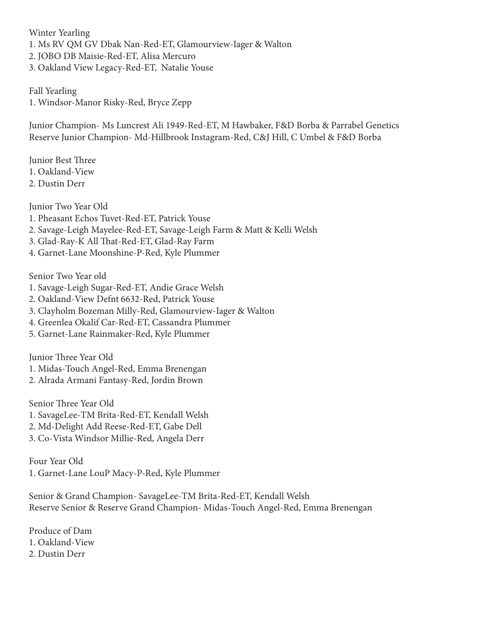Winter Yearling 1. Ms RV QM GV Dbak Nan-Red-ET, Glamourview-Iager & Walton 2. JOBO DB Maisie-Red-ET, Alisa Mercuro 3. Oakland View Legacy-Red-ET, Natalie Youse

Fall Yearling 1. Windsor-Manor Risky-Red, Bryce Zepp

Junior Champion- Ms Luncrest Ali 1949-Red-ET, M Hawbaker, F&D Borba & Parrabel Genetics Reserve Junior Champion- Md-Hillbrook Instagram-Red, C&J Hill, C Umbel & F&D Borba

Junior Best Three 1. Oakland-View 2. Dustin Derr

Junior Two Year Old 1. Pheasant Echos Tuvet-Red-ET, Patrick Youse 2. Savage-Leigh Mayelee-Red-ET, Savage-Leigh Farm & Matt & Kelli Welsh 3. Glad-Ray-K All That-Red-ET, Glad-Ray Farm 4. Garnet-Lane Moonshine-P-Red, Kyle Plummer

Senior Two Year old

- 1. Savage-Leigh Sugar-Red-ET, Andie Grace Welsh
- 2. Oakland-View Defnt 6632-Red, Patrick Youse
- 3. Clayholm Bozeman Milly-Red, Glamourview-Iager & Walton
- 4. Greenlea Okalif Car-Red-ET, Cassandra Plummer
- 5. Garnet-Lane Rainmaker-Red, Kyle Plummer

Junior Three Year Old

- 1. Midas-Touch Angel-Red, Emma Brenengan
- 2. Alrada Armani Fantasy-Red, Jordin Brown

Senior Three Year Old

- 1. SavageLee-TM Brita-Red-ET, Kendall Welsh
- 2. Md-Delight Add Reese-Red-ET, Gabe Dell
- 3. Co-Vista Windsor Millie-Red, Angela Derr

Four Year Old 1. Garnet-Lane LouP Macy-P-Red, Kyle Plummer

Senior & Grand Champion- SavageLee-TM Brita-Red-ET, Kendall Welsh Reserve Senior & Reserve Grand Champion- Midas-Touch Angel-Red, Emma Brenengan

Produce of Dam 1. Oakland-View 2. Dustin Derr